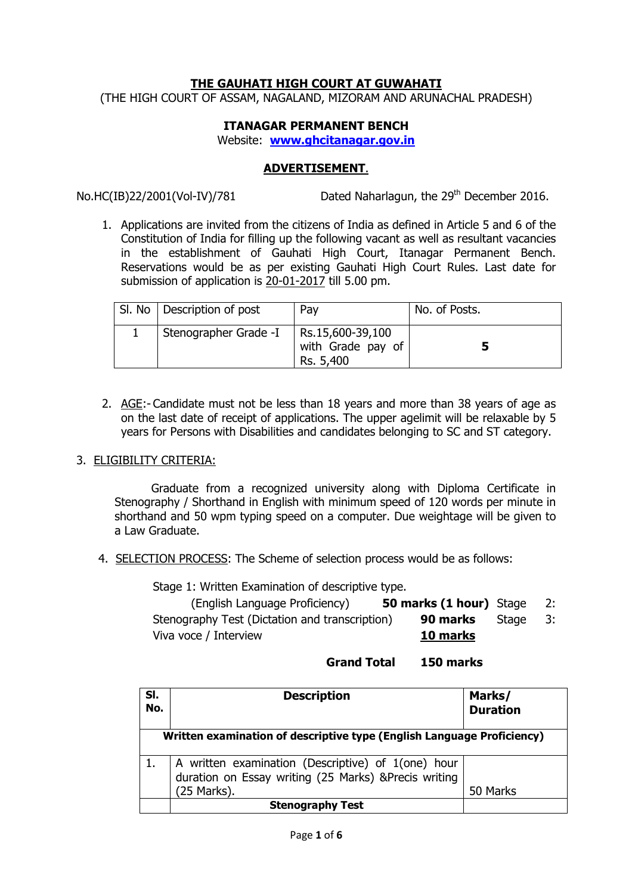# **THE GAUHATI HIGH COURT AT GUWAHATI**

(THE HIGH COURT OF ASSAM, NAGALAND, MIZORAM AND ARUNACHAL PRADESH)

## **ITANAGAR PERMANENT BENCH**

Website: **www.ghcitanagar.gov.in**

## **ADVERTISEMENT**.

No.HC(IB)22/2001(Vol-IV)/781 Dated Naharlagun, the  $29<sup>th</sup>$  December 2016.

1. Applications are invited from the citizens of India as defined in Article 5 and 6 of the Constitution of India for filling up the following vacant as well as resultant vacancies in the establishment of Gauhati High Court, Itanagar Permanent Bench. Reservations would be as per existing Gauhati High Court Rules. Last date for submission of application is 20-01-2017 till 5.00 pm.

| SI. No   Description of post | Pay                                                | No. of Posts. |
|------------------------------|----------------------------------------------------|---------------|
| Stenographer Grade -I        | Rs.15,600-39,100<br>with Grade pay of<br>Rs. 5,400 |               |

2. AGE:- Candidate must not be less than 18 years and more than 38 years of age as on the last date of receipt of applications. The upper agelimit will be relaxable by 5 years for Persons with Disabilities and candidates belonging to SC and ST category.

# 3. ELIGIBILITY CRITERIA:

 Graduate from a recognized university along with Diploma Certificate in Stenography / Shorthand in English with minimum speed of 120 words per minute in shorthand and 50 wpm typing speed on a computer. Due weightage will be given to a Law Graduate.

4. SELECTION PROCESS: The Scheme of selection process would be as follows:

Stage 1: Written Examination of descriptive type.

| (English Language Proficiency)                 | <b>50 marks (1 hour)</b> Stage |       |      |
|------------------------------------------------|--------------------------------|-------|------|
| Stenography Test (Dictation and transcription) | 90 marks                       | Stage | - 3: |
| Viva voce / Interview                          | 10 marks                       |       |      |

## **Grand Total 150 marks**

| SI.<br>No. | <b>Description</b>                                                                                                        | Marks/<br><b>Duration</b> |  |  |  |
|------------|---------------------------------------------------------------------------------------------------------------------------|---------------------------|--|--|--|
|            | Written examination of descriptive type (English Language Proficiency)                                                    |                           |  |  |  |
|            | A written examination (Descriptive) of 1(one) hour<br>duration on Essay writing (25 Marks) &Precis writing<br>(25 Marks). | 50 Marks                  |  |  |  |
|            | <b>Stenography Test</b>                                                                                                   |                           |  |  |  |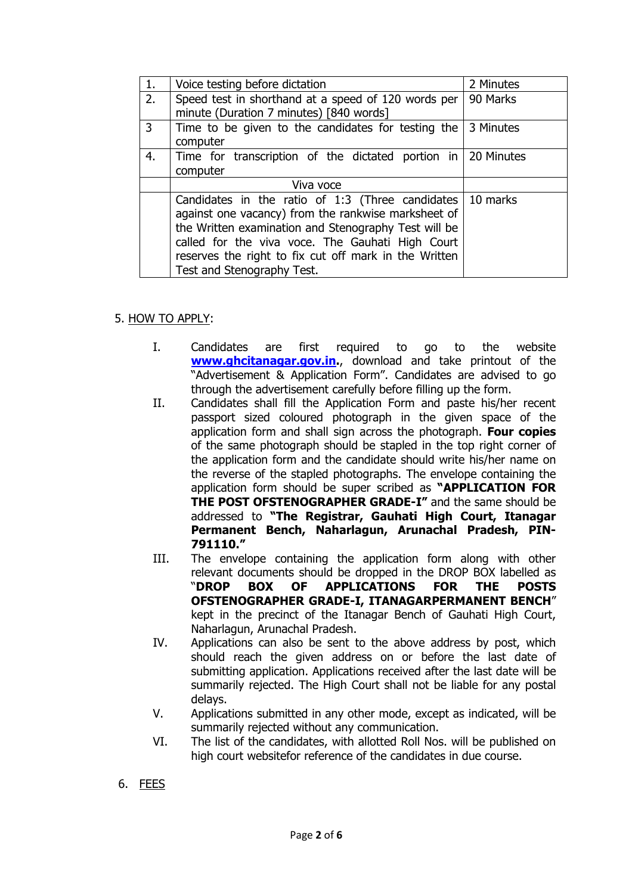| 1. | Voice testing before dictation                                    | 2 Minutes |
|----|-------------------------------------------------------------------|-----------|
| 2. | Speed test in shorthand at a speed of 120 words per               | 90 Marks  |
|    | minute (Duration 7 minutes) [840 words]                           |           |
| 3  | Time to be given to the candidates for testing the                | 3 Minutes |
|    | computer                                                          |           |
| 4. | Time for transcription of the dictated portion in   20 Minutes    |           |
|    | computer                                                          |           |
|    | Viva voce                                                         |           |
|    | Candidates in the ratio of 1:3 (Three candidates $\vert$ 10 marks |           |
|    | against one vacancy) from the rankwise marksheet of               |           |
|    | the Written examination and Stenography Test will be              |           |
|    | called for the viva voce. The Gauhati High Court                  |           |
|    | reserves the right to fix cut off mark in the Written             |           |
|    | Test and Stenography Test.                                        |           |

# 5. HOW TO APPLY:

- I. Candidates are first required to go to the website **www.ghcitanagar.gov.in.**, download and take printout of the "Advertisement & Application Form". Candidates are advised to go through the advertisement carefully before filling up the form.
- II. Candidates shall fill the Application Form and paste his/her recent passport sized coloured photograph in the given space of the application form and shall sign across the photograph. **Four copies** of the same photograph should be stapled in the top right corner of the application form and the candidate should write his/her name on the reverse of the stapled photographs. The envelope containing the application form should be super scribed as **"APPLICATION FOR THE POST OFSTENOGRAPHER GRADE-I"** and the same should be addressed to **"The Registrar, Gauhati High Court, Itanagar Permanent Bench, Naharlagun, Arunachal Pradesh, PIN-791110."**
- III. The envelope containing the application form along with other relevant documents should be dropped in the DROP BOX labelled as "**DROP BOX OF APPLICATIONS FOR THE POSTS OFSTENOGRAPHER GRADE-I, ITANAGARPERMANENT BENCH**" kept in the precinct of the Itanagar Bench of Gauhati High Court, Naharlagun, Arunachal Pradesh.
- IV. Applications can also be sent to the above address by post, which should reach the given address on or before the last date of submitting application. Applications received after the last date will be summarily rejected. The High Court shall not be liable for any postal delays.
- V. Applications submitted in any other mode, except as indicated, will be summarily rejected without any communication.
- VI. The list of the candidates, with allotted Roll Nos. will be published on high court websitefor reference of the candidates in due course.
- 6. FEES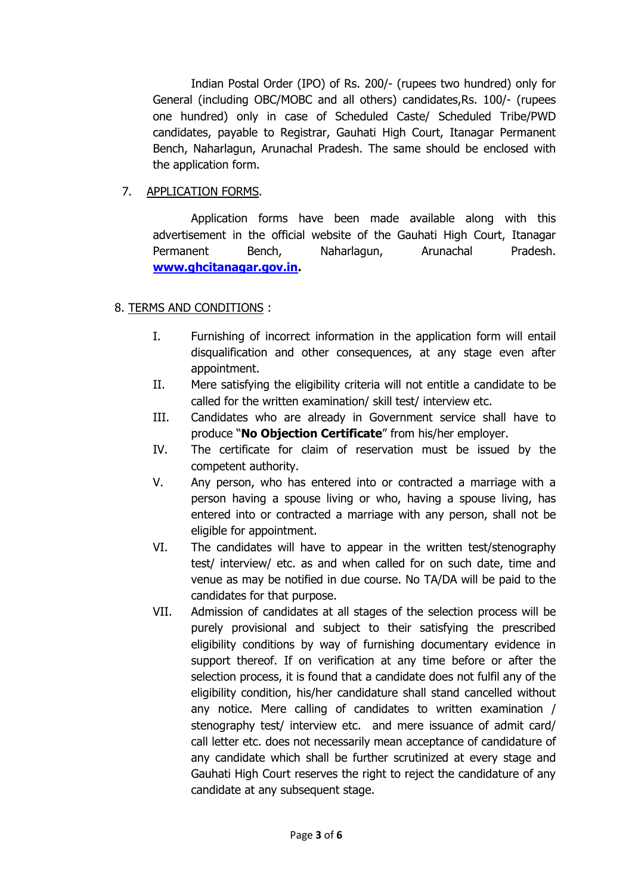Indian Postal Order (IPO) of Rs. 200/- (rupees two hundred) only for General (including OBC/MOBC and all others) candidates,Rs. 100/- (rupees one hundred) only in case of Scheduled Caste/ Scheduled Tribe/PWD candidates, payable to Registrar, Gauhati High Court, Itanagar Permanent Bench, Naharlagun, Arunachal Pradesh. The same should be enclosed with the application form.

# 7. APPLICATION FORMS.

Application forms have been made available along with this advertisement in the official website of the Gauhati High Court, Itanagar Permanent Bench, Naharlagun, Arunachal Pradesh. **www.ghcitanagar.gov.in.**

# 8. TERMS AND CONDITIONS :

- I. Furnishing of incorrect information in the application form will entail disqualification and other consequences, at any stage even after appointment.
- II. Mere satisfying the eligibility criteria will not entitle a candidate to be called for the written examination/ skill test/ interview etc.
- III. Candidates who are already in Government service shall have to produce "**No Objection Certificate**" from his/her employer.
- IV. The certificate for claim of reservation must be issued by the competent authority.
- V. Any person, who has entered into or contracted a marriage with a person having a spouse living or who, having a spouse living, has entered into or contracted a marriage with any person, shall not be eligible for appointment.
- VI. The candidates will have to appear in the written test/stenography test/ interview/ etc. as and when called for on such date, time and venue as may be notified in due course. No TA/DA will be paid to the candidates for that purpose.
- VII. Admission of candidates at all stages of the selection process will be purely provisional and subject to their satisfying the prescribed eligibility conditions by way of furnishing documentary evidence in support thereof. If on verification at any time before or after the selection process, it is found that a candidate does not fulfil any of the eligibility condition, his/her candidature shall stand cancelled without any notice. Mere calling of candidates to written examination / stenography test/ interview etc. and mere issuance of admit card/ call letter etc. does not necessarily mean acceptance of candidature of any candidate which shall be further scrutinized at every stage and Gauhati High Court reserves the right to reject the candidature of any candidate at any subsequent stage.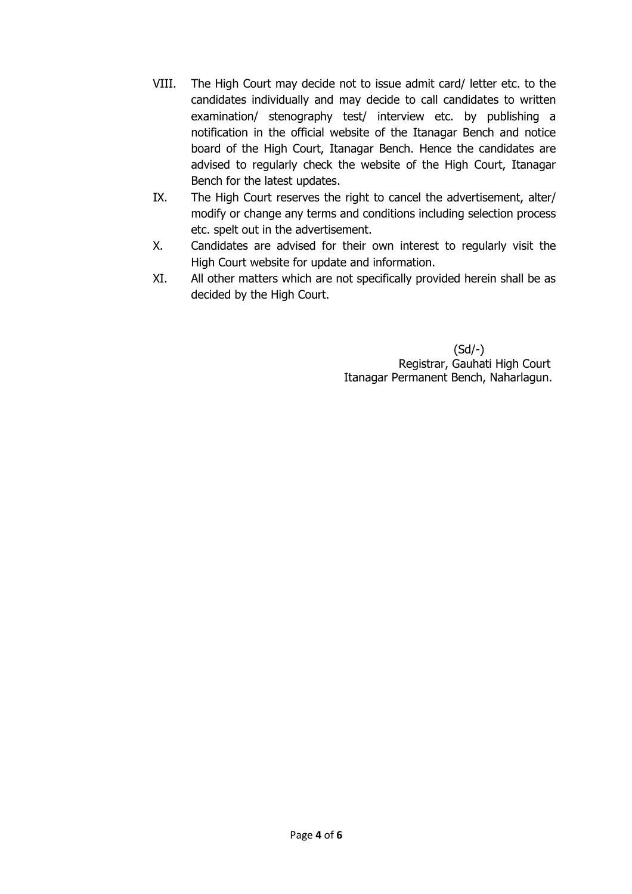- VIII. The High Court may decide not to issue admit card/ letter etc. to the candidates individually and may decide to call candidates to written examination/ stenography test/ interview etc. by publishing a notification in the official website of the Itanagar Bench and notice board of the High Court, Itanagar Bench. Hence the candidates are advised to regularly check the website of the High Court, Itanagar Bench for the latest updates.
- IX. The High Court reserves the right to cancel the advertisement, alter/ modify or change any terms and conditions including selection process etc. spelt out in the advertisement.
- X. Candidates are advised for their own interest to regularly visit the High Court website for update and information.
- XI. All other matters which are not specifically provided herein shall be as decided by the High Court.

(Sd/-) Registrar, Gauhati High Court Itanagar Permanent Bench, Naharlagun.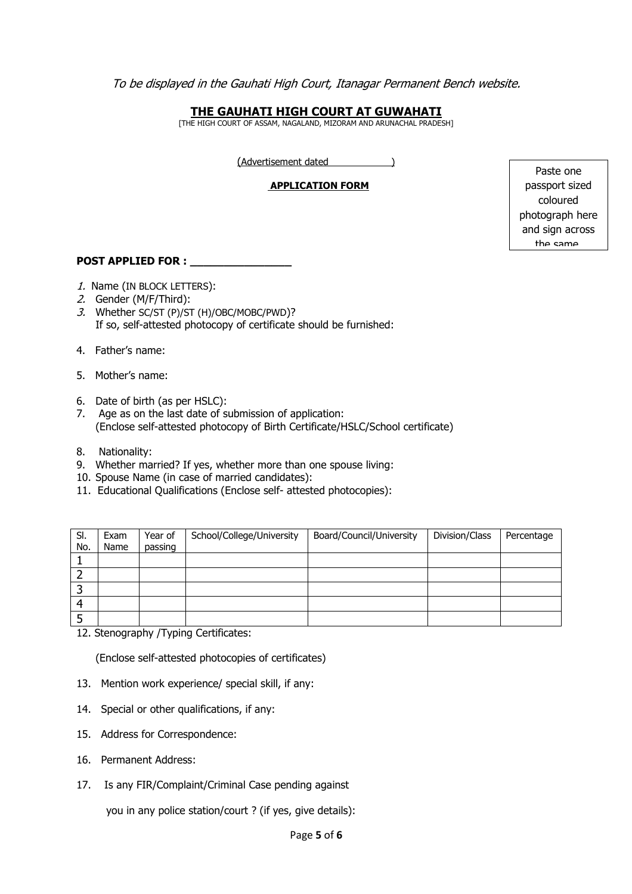To be displayed in the Gauhati High Court, Itanagar Permanent Bench website.

# **THE GAUHATI HIGH COURT AT GUWAHATI**

[THE HIGH COURT OF ASSAM, NAGALAND, MIZORAM AND ARUNACHAL PRADESH]

(Advertisement dated )

#### **APPLICATION FORM**

Paste one passport sized coloured photograph here and sign across the same.

#### POST APPLIED FOR : \_\_\_\_\_\_

- 1. Name (IN BLOCK LETTERS):
- 2. Gender (M/F/Third):
- 3. Whether SC/ST (P)/ST (H)/OBC/MOBC/PWD)? If so, self-attested photocopy of certificate should be furnished:
- 4. Father's name:
- 5. Mother's name:
- 6. Date of birth (as per HSLC):
- 7. Age as on the last date of submission of application: (Enclose self-attested photocopy of Birth Certificate/HSLC/School certificate)
- 8. Nationality:
- 9. Whether married? If yes, whether more than one spouse living:
- 10. Spouse Name (in case of married candidates):
- 11. Educational Qualifications (Enclose self- attested photocopies):

| SI.<br>No. | Exam<br>Name | Year of<br>passing | School/College/University | Board/Council/University | Division/Class | Percentage |
|------------|--------------|--------------------|---------------------------|--------------------------|----------------|------------|
|            |              |                    |                           |                          |                |            |
|            |              |                    |                           |                          |                |            |
|            |              |                    |                           |                          |                |            |
| Δ          |              |                    |                           |                          |                |            |
| п          |              |                    |                           |                          |                |            |

12. Stenography /Typing Certificates:

(Enclose self-attested photocopies of certificates)

- 13. Mention work experience/ special skill, if any:
- 14. Special or other qualifications, if any:
- 15. Address for Correspondence:
- 16. Permanent Address:
- 17. Is any FIR/Complaint/Criminal Case pending against

you in any police station/court ? (if yes, give details):